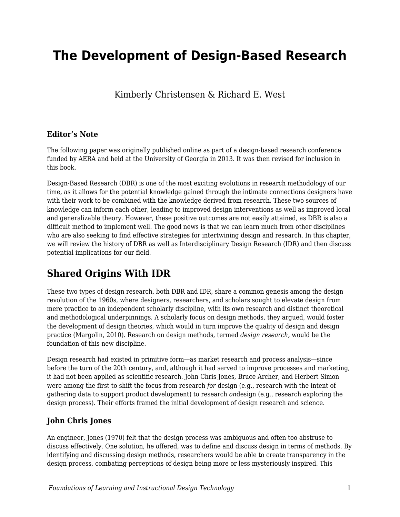# **The Development of Design-Based Research**

Kimberly Christensen & Richard E. West

#### **Editor's Note**

The following paper was originally published online as part of a design-based research conference funded by AERA and held at the University of Georgia in 2013. It was then revised for inclusion in this book.

Design-Based Research (DBR) is one of the most exciting evolutions in research methodology of our time, as it allows for the potential knowledge gained through the intimate connections designers have with their work to be combined with the knowledge derived from research. These two sources of knowledge can inform each other, leading to improved design interventions as well as improved local and generalizable theory. However, these positive outcomes are not easily attained, as DBR is also a difficult method to implement well. The good news is that we can learn much from other disciplines who are also seeking to find effective strategies for intertwining design and research. In this chapter, we will review the history of DBR as well as Interdisciplinary Design Research (IDR) and then discuss potential implications for our field.

## **Shared Origins With IDR**

These two types of design research, both DBR and IDR, share a common genesis among the design revolution of the 1960s, where designers, researchers, and scholars sought to elevate design from mere practice to an independent scholarly discipline, with its own research and distinct theoretical and methodological underpinnings. A scholarly focus on design methods, they argued, would foster the development of design theories, which would in turn improve the quality of design and design practice (Margolin, 2010). Research on design methods, termed *design research,* would be the foundation of this new discipline.

Design research had existed in primitive form—as market research and process analysis—since before the turn of the 20th century, and, although it had served to improve processes and marketing, it had not been applied as scientific research. John Chris Jones, Bruce Archer, and Herbert Simon were among the first to shift the focus from research *for* design (e.g., research with the intent of gathering data to support product development) to research *on*design (e.g., research exploring the design process). Their efforts framed the initial development of design research and science.

## **John Chris Jones**

An engineer, Jones (1970) felt that the design process was ambiguous and often too abstruse to discuss effectively. One solution, he offered, was to define and discuss design in terms of methods. By identifying and discussing design methods, researchers would be able to create transparency in the design process, combating perceptions of design being more or less mysteriously inspired. This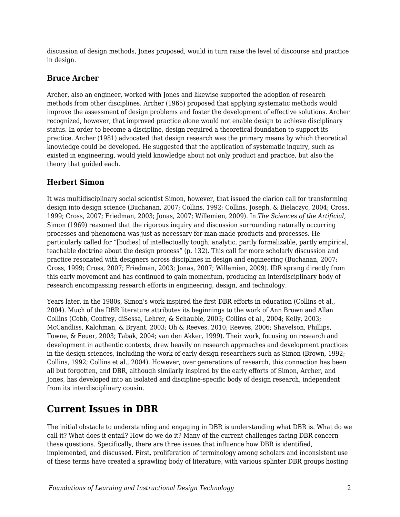discussion of design methods, Jones proposed, would in turn raise the level of discourse and practice in design.

## **Bruce Archer**

Archer, also an engineer, worked with Jones and likewise supported the adoption of research methods from other disciplines. Archer (1965) proposed that applying systematic methods would improve the assessment of design problems and foster the development of effective solutions. Archer recognized, however, that improved practice alone would not enable design to achieve disciplinary status. In order to become a discipline, design required a theoretical foundation to support its practice. Archer (1981) advocated that design research was the primary means by which theoretical knowledge could be developed. He suggested that the application of systematic inquiry, such as existed in engineering, would yield knowledge about not only product and practice, but also the theory that guided each.

## **Herbert Simon**

It was multidisciplinary social scientist Simon, however, that issued the clarion call for transforming design into design science (Buchanan, 2007; Collins, 1992; Collins, Joseph, & Bielaczyc, 2004; Cross, 1999; Cross, 2007; Friedman, 2003; Jonas, 2007; Willemien, 2009). In *The Sciences of the Artificial,* Simon (1969) reasoned that the rigorous inquiry and discussion surrounding naturally occurring processes and phenomena was just as necessary for man-made products and processes. He particularly called for "[bodies] of intellectually tough, analytic, partly formalizable, partly empirical, teachable doctrine about the design process" (p. 132). This call for more scholarly discussion and practice resonated with designers across disciplines in design and engineering (Buchanan, 2007; Cross, 1999; Cross, 2007; Friedman, 2003; Jonas, 2007; Willemien, 2009). IDR sprang directly from this early movement and has continued to gain momentum, producing an interdisciplinary body of research encompassing research efforts in engineering, design, and technology.

Years later, in the 1980s, Simon's work inspired the first DBR efforts in education (Collins et al., 2004). Much of the DBR literature attributes its beginnings to the work of Ann Brown and Allan Collins (Cobb, Confrey, diSessa, Lehrer, & Schauble, 2003; Collins et al., 2004; Kelly, 2003; McCandliss, Kalchman, & Bryant, 2003; Oh & Reeves, 2010; Reeves, 2006; Shavelson, Phillips, Towne, & Feuer, 2003; Tabak, 2004; van den Akker, 1999). Their work, focusing on research and development in authentic contexts, drew heavily on research approaches and development practices in the design sciences, including the work of early design researchers such as Simon (Brown, 1992; Collins, 1992; Collins et al., 2004). However, over generations of research, this connection has been all but forgotten, and DBR, although similarly inspired by the early efforts of Simon, Archer, and Jones, has developed into an isolated and discipline-specific body of design research, independent from its interdisciplinary cousin.

## **Current Issues in DBR**

The initial obstacle to understanding and engaging in DBR is understanding what DBR is. What do we call it? What does it entail? How do we do it? Many of the current challenges facing DBR concern these questions. Specifically, there are three issues that influence how DBR is identified, implemented, and discussed. First, proliferation of terminology among scholars and inconsistent use of these terms have created a sprawling body of literature, with various splinter DBR groups hosting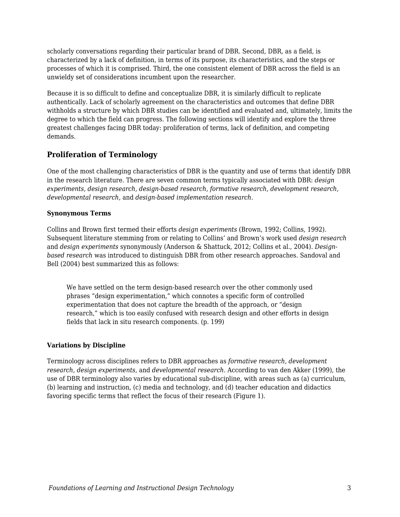scholarly conversations regarding their particular brand of DBR. Second, DBR, as a field, is characterized by a lack of definition, in terms of its purpose, its characteristics, and the steps or processes of which it is comprised. Third, the one consistent element of DBR across the field is an unwieldy set of considerations incumbent upon the researcher.

Because it is so difficult to define and conceptualize DBR, it is similarly difficult to replicate authentically. Lack of scholarly agreement on the characteristics and outcomes that define DBR withholds a structure by which DBR studies can be identified and evaluated and, ultimately, limits the degree to which the field can progress. The following sections will identify and explore the three greatest challenges facing DBR today: proliferation of terms, lack of definition, and competing demands.

### **Proliferation of Terminology**

One of the most challenging characteristics of DBR is the quantity and use of terms that identify DBR in the research literature. There are seven common terms typically associated with DBR: *design experiments, design research, design-based research, formative research, development research, developmental research,* and *design-based implementation research.*

#### **Synonymous Terms**

Collins and Brown first termed their efforts *design experiments* (Brown, 1992; Collins, 1992). Subsequent literature stemming from or relating to Collins' and Brown's work used *design research* and *design experiments* synonymously (Anderson & Shattuck, 2012; Collins et al., 2004). *Designbased research* was introduced to distinguish DBR from other research approaches. Sandoval and Bell (2004) best summarized this as follows:

We have settled on the term design-based research over the other commonly used phrases "design experimentation," which connotes a specific form of controlled experimentation that does not capture the breadth of the approach, or "design research," which is too easily confused with research design and other efforts in design fields that lack in situ research components. (p. 199)

#### **Variations by Discipline**

Terminology across disciplines refers to DBR approaches as *formative research, development research, design experiments,* and *developmental research.* According to van den Akker (1999), the use of DBR terminology also varies by educational sub-discipline, with areas such as (a) curriculum, (b) learning and instruction, (c) media and technology, and (d) teacher education and didactics favoring specific terms that reflect the focus of their research (Figure 1).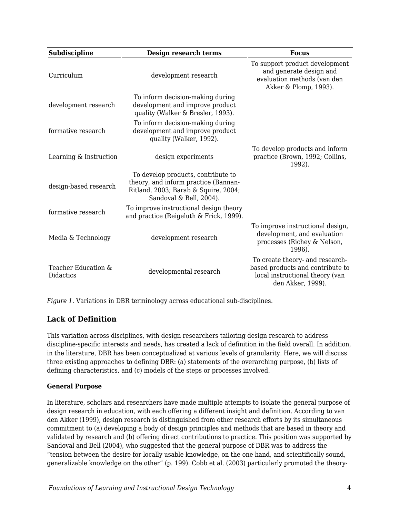| Subdiscipline                           | Design research terms                                                                                                                         | <b>Focus</b>                                                                                                                |
|-----------------------------------------|-----------------------------------------------------------------------------------------------------------------------------------------------|-----------------------------------------------------------------------------------------------------------------------------|
| Curriculum                              | development research                                                                                                                          | To support product development<br>and generate design and<br>evaluation methods (van den<br>Akker & Plomp, 1993).           |
| development research                    | To inform decision-making during<br>development and improve product<br>quality (Walker & Bresler, 1993).                                      |                                                                                                                             |
| formative research                      | To inform decision-making during<br>development and improve product<br>quality (Walker, 1992).                                                |                                                                                                                             |
| Learning & Instruction                  | design experiments                                                                                                                            | To develop products and inform<br>practice (Brown, 1992; Collins,<br>1992).                                                 |
| design-based research                   | To develop products, contribute to<br>theory, and inform practice (Bannan-<br>Ritland, 2003; Barab & Squire, 2004;<br>Sandoval & Bell, 2004). |                                                                                                                             |
| formative research                      | To improve instructional design theory<br>and practice (Reigeluth & Frick, 1999).                                                             |                                                                                                                             |
| Media & Technology                      | development research                                                                                                                          | To improve instructional design,<br>development, and evaluation<br>processes (Richey & Nelson,<br>1996).                    |
| Teacher Education &<br><b>Didactics</b> | developmental research                                                                                                                        | To create theory- and research-<br>based products and contribute to<br>local instructional theory (van<br>den Akker, 1999). |

*Figure 1.* Variations in DBR terminology across educational sub-disciplines.

## **Lack of Definition**

This variation across disciplines, with design researchers tailoring design research to address discipline-specific interests and needs, has created a lack of definition in the field overall. In addition, in the literature, DBR has been conceptualized at various levels of granularity. Here, we will discuss three existing approaches to defining DBR: (a) statements of the overarching purpose, (b) lists of defining characteristics, and (c) models of the steps or processes involved.

#### **General Purpose**

In literature, scholars and researchers have made multiple attempts to isolate the general purpose of design research in education, with each offering a different insight and definition. According to van den Akker (1999), design research is distinguished from other research efforts by its simultaneous commitment to (a) developing a body of design principles and methods that are based in theory and validated by research and (b) offering direct contributions to practice. This position was supported by Sandoval and Bell (2004), who suggested that the general purpose of DBR was to address the "tension between the desire for locally usable knowledge, on the one hand, and scientifically sound, generalizable knowledge on the other" (p. 199). Cobb et al. (2003) particularly promoted the theory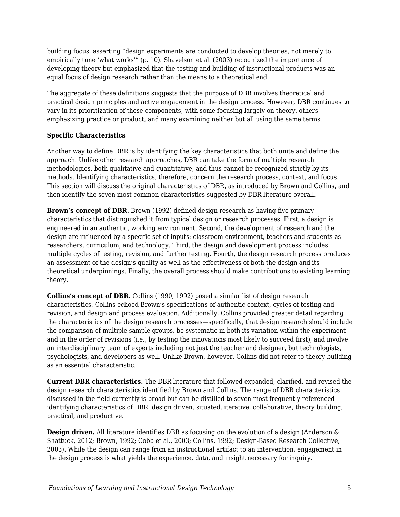building focus, asserting "design experiments are conducted to develop theories, not merely to empirically tune 'what works'" (p. 10). Shavelson et al. (2003) recognized the importance of developing theory but emphasized that the testing and building of instructional products was an equal focus of design research rather than the means to a theoretical end.

The aggregate of these definitions suggests that the purpose of DBR involves theoretical and practical design principles and active engagement in the design process. However, DBR continues to vary in its prioritization of these components, with some focusing largely on theory, others emphasizing practice or product, and many examining neither but all using the same terms.

#### **Specific Characteristics**

Another way to define DBR is by identifying the key characteristics that both unite and define the approach. Unlike other research approaches, DBR can take the form of multiple research methodologies, both qualitative and quantitative, and thus cannot be recognized strictly by its methods. Identifying characteristics, therefore, concern the research process, context, and focus. This section will discuss the original characteristics of DBR, as introduced by Brown and Collins, and then identify the seven most common characteristics suggested by DBR literature overall.

**Brown's concept of DBR.** Brown (1992) defined design research as having five primary characteristics that distinguished it from typical design or research processes. First, a design is engineered in an authentic, working environment. Second, the development of research and the design are influenced by a specific set of inputs: classroom environment, teachers and students as researchers, curriculum, and technology. Third, the design and development process includes multiple cycles of testing, revision, and further testing. Fourth, the design research process produces an assessment of the design's quality as well as the effectiveness of both the design and its theoretical underpinnings. Finally, the overall process should make contributions to existing learning theory.

**Collins's concept of DBR.** Collins (1990, 1992) posed a similar list of design research characteristics. Collins echoed Brown's specifications of authentic context, cycles of testing and revision, and design and process evaluation. Additionally, Collins provided greater detail regarding the characteristics of the design research processes—specifically, that design research should include the comparison of multiple sample groups, be systematic in both its variation within the experiment and in the order of revisions (i.e., by testing the innovations most likely to succeed first), and involve an interdisciplinary team of experts including not just the teacher and designer, but technologists, psychologists, and developers as well. Unlike Brown, however, Collins did not refer to theory building as an essential characteristic.

**Current DBR characteristics.** The DBR literature that followed expanded, clarified, and revised the design research characteristics identified by Brown and Collins. The range of DBR characteristics discussed in the field currently is broad but can be distilled to seven most frequently referenced identifying characteristics of DBR: design driven, situated, iterative, collaborative, theory building, practical, and productive.

**Design driven.** All literature identifies DBR as focusing on the evolution of a design (Anderson & Shattuck, 2012; Brown, 1992; Cobb et al., 2003; Collins, 1992; Design-Based Research Collective, 2003). While the design can range from an instructional artifact to an intervention, engagement in the design process is what yields the experience, data, and insight necessary for inquiry.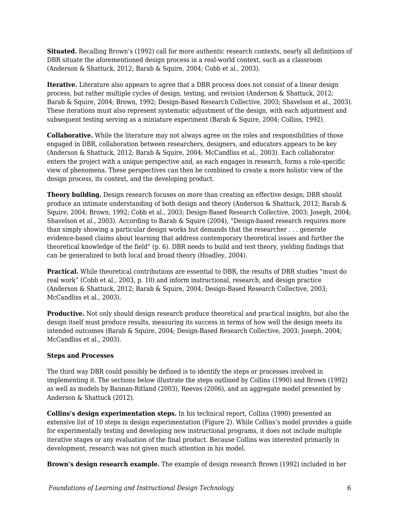**Situated.** Recalling Brown's (1992) call for more authentic research contexts, nearly all definitions of DBR situate the aforementioned design process in a real-world context, such as a classroom (Anderson & Shattuck, 2012; Barab & Squire, 2004; Cobb et al., 2003).

**Iterative.** Literature also appears to agree that a DBR process does not consist of a linear design process, but rather multiple cycles of design, testing, and revision (Anderson & Shattuck, 2012; Barab & Squire, 2004; Brown, 1992; Design-Based Research Collective, 2003; Shavelson et al., 2003). These iterations must also represent systematic adjustment of the design, with each adjustment and subsequent testing serving as a miniature experiment (Barab & Squire, 2004; Collins, 1992).

**Collaborative.** While the literature may not always agree on the roles and responsibilities of those engaged in DBR, collaboration between researchers, designers, and educators appears to be key (Anderson & Shattuck, 2012; Barab & Squire, 2004; McCandliss et al., 2003). Each collaborator enters the project with a unique perspective and, as each engages in research, forms a role-specific view of phenomena. These perspectives can then be combined to create a more holistic view of the design process, its context, and the developing product.

**Theory building.** Design research focuses on more than creating an effective design; DBR should produce an intimate understanding of both design and theory (Anderson & Shattuck, 2012; Barab & Squire, 2004; Brown, 1992; Cobb et al., 2003; Design-Based Research Collective, 2003; Joseph, 2004; Shavelson et al., 2003). According to Barab & Squire (2004), "Design-based research requires more than simply showing a particular design works but demands that the researcher . . . generate evidence-based claims about learning that address contemporary theoretical issues and further the theoretical knowledge of the field" (p. 6). DBR needs to build and test theory, yielding findings that can be generalized to both local and broad theory (Hoadley, 2004).

**Practical.** While theoretical contributions are essential to DBR, the results of DBR studies "must do real work" (Cobb et al., 2003, p. 10) and inform instructional, research, and design practice (Anderson & Shattuck, 2012; Barab & Squire, 2004; Design-Based Research Collective, 2003; McCandliss et al., 2003).

**Productive.** Not only should design research produce theoretical and practical insights, but also the design itself must produce results, measuring its success in terms of how well the design meets its intended outcomes (Barab & Squire, 2004; Design-Based Research Collective, 2003; Joseph, 2004; McCandliss et al., 2003).

#### **Steps and Processes**

The third way DBR could possibly be defined is to identify the steps or processes involved in implementing it. The sections below illustrate the steps outlined by Collins (1990) and Brown (1992) as well as models by Bannan-Ritland (2003), Reeves (2006), and an aggregate model presented by Anderson & Shattuck (2012).

**Collins's design experimentation steps.** In his technical report, Collins (1990) presented an extensive list of 10 steps in design experimentation (Figure 2). While Collins's model provides a guide for experimentally testing and developing new instructional programs, it does not include multiple iterative stages or any evaluation of the final product. Because Collins was interested primarily in development, research was not given much attention in his model.

**Brown's design research example.** The example of design research Brown (1992) included in her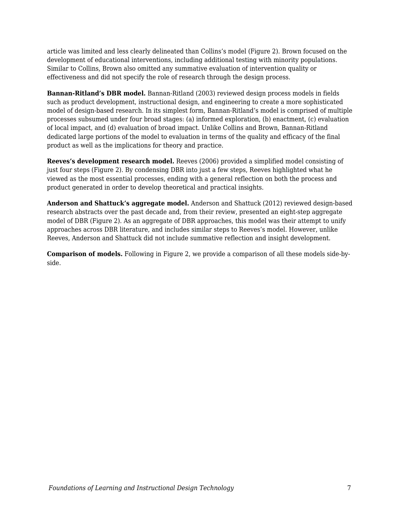article was limited and less clearly delineated than Collins's model (Figure 2). Brown focused on the development of educational interventions, including additional testing with minority populations. Similar to Collins, Brown also omitted any summative evaluation of intervention quality or effectiveness and did not specify the role of research through the design process.

**Bannan-Ritland's DBR model.** Bannan-Ritland (2003) reviewed design process models in fields such as product development, instructional design, and engineering to create a more sophisticated model of design-based research. In its simplest form, Bannan-Ritland's model is comprised of multiple processes subsumed under four broad stages: (a) informed exploration, (b) enactment, (c) evaluation of local impact, and (d) evaluation of broad impact. Unlike Collins and Brown, Bannan-Ritland dedicated large portions of the model to evaluation in terms of the quality and efficacy of the final product as well as the implications for theory and practice.

**Reeves's development research model.** Reeves (2006) provided a simplified model consisting of just four steps (Figure 2). By condensing DBR into just a few steps, Reeves highlighted what he viewed as the most essential processes, ending with a general reflection on both the process and product generated in order to develop theoretical and practical insights.

**Anderson and Shattuck's aggregate model.** Anderson and Shattuck (2012) reviewed design-based research abstracts over the past decade and, from their review, presented an eight-step aggregate model of DBR (Figure 2). As an aggregate of DBR approaches, this model was their attempt to unify approaches across DBR literature, and includes similar steps to Reeves's model. However, unlike Reeves, Anderson and Shattuck did not include summative reflection and insight development.

**Comparison of models.** Following in Figure 2, we provide a comparison of all these models side-byside.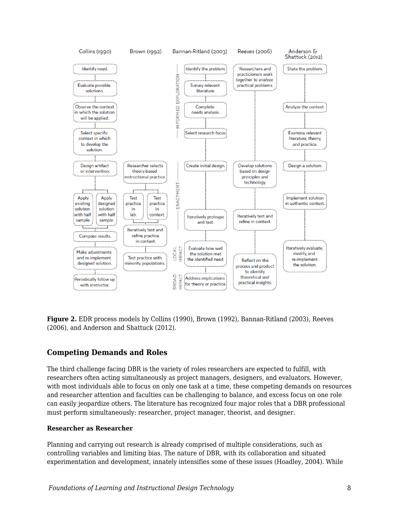

**Figure 2.** EDR process models by Collins (1990), Brown (1992), Bannan-Ritland (2003), Reeves (2006), and Anderson and Shattuck (2012).

## **Competing Demands and Roles**

The third challenge facing DBR is the variety of roles researchers are expected to fulfill, with researchers often acting simultaneously as project managers, designers, and evaluators. However, with most individuals able to focus on only one task at a time, these competing demands on resources and researcher attention and faculties can be challenging to balance, and excess focus on one role can easily jeopardize others. The literature has recognized four major roles that a DBR professional must perform simultaneously: researcher, project manager, theorist, and designer.

#### **Researcher as Researcher**

Planning and carrying out research is already comprised of multiple considerations, such as controlling variables and limiting bias. The nature of DBR, with its collaboration and situated experimentation and development, innately intensifies some of these issues (Hoadley, 2004). While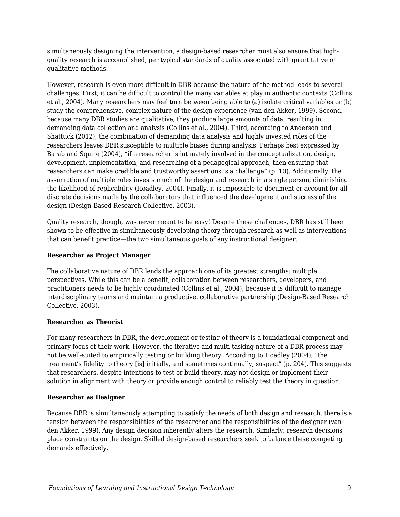simultaneously designing the intervention, a design-based researcher must also ensure that highquality research is accomplished, per typical standards of quality associated with quantitative or qualitative methods.

However, research is even more difficult in DBR because the nature of the method leads to several challenges. First, it can be difficult to control the many variables at play in authentic contexts (Collins et al., 2004). Many researchers may feel torn between being able to (a) isolate critical variables or (b) study the comprehensive, complex nature of the design experience (van den Akker, 1999). Second, because many DBR studies are qualitative, they produce large amounts of data, resulting in demanding data collection and analysis (Collins et al., 2004). Third, according to Anderson and Shattuck (2012), the combination of demanding data analysis and highly invested roles of the researchers leaves DBR susceptible to multiple biases during analysis. Perhaps best expressed by Barab and Squire (2004), "if a researcher is intimately involved in the conceptualization, design, development, implementation, and researching of a pedagogical approach, then ensuring that researchers can make credible and trustworthy assertions is a challenge" (p. 10). Additionally, the assumption of multiple roles invests much of the design and research in a single person, diminishing the likelihood of replicability (Hoadley, 2004). Finally, it is impossible to document or account for all discrete decisions made by the collaborators that influenced the development and success of the design (Design-Based Research Collective, 2003).

Quality research, though, was never meant to be easy! Despite these challenges, DBR has still been shown to be effective in simultaneously developing theory through research as well as interventions that can benefit practice—the two simultaneous goals of any instructional designer.

#### **Researcher as Project Manager**

The collaborative nature of DBR lends the approach one of its greatest strengths: multiple perspectives. While this can be a benefit, collaboration between researchers, developers, and practitioners needs to be highly coordinated (Collins et al., 2004), because it is difficult to manage interdisciplinary teams and maintain a productive, collaborative partnership (Design-Based Research Collective, 2003).

#### **Researcher as Theorist**

For many researchers in DBR, the development or testing of theory is a foundational component and primary focus of their work. However, the iterative and multi-tasking nature of a DBR process may not be well-suited to empirically testing or building theory. According to Hoadley (2004), "the treatment's fidelity to theory [is] initially, and sometimes continually, suspect" (p. 204). This suggests that researchers, despite intentions to test or build theory, may not design or implement their solution in alignment with theory or provide enough control to reliably test the theory in question.

#### **Researcher as Designer**

Because DBR is simultaneously attempting to satisfy the needs of both design and research, there is a tension between the responsibilities of the researcher and the responsibilities of the designer (van den Akker, 1999). Any design decision inherently alters the research. Similarly, research decisions place constraints on the design. Skilled design-based researchers seek to balance these competing demands effectively.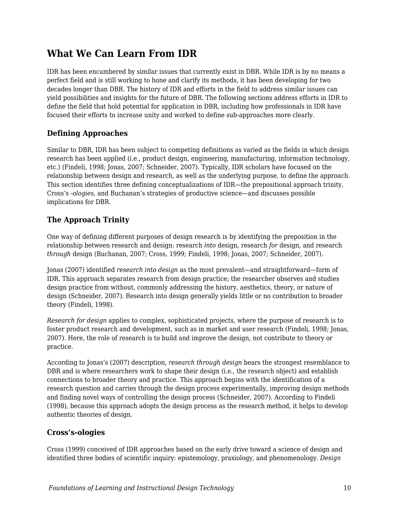## **What We Can Learn From IDR**

IDR has been encumbered by similar issues that currently exist in DBR. While IDR is by no means a perfect field and is still working to hone and clarify its methods, it has been developing for two decades longer than DBR. The history of IDR and efforts in the field to address similar issues can yield possibilities and insights for the future of DBR. The following sections address efforts in IDR to define the field that hold potential for application in DBR, including how professionals in IDR have focused their efforts to increase unity and worked to define sub-approaches more clearly.

## **Defining Approaches**

Similar to DBR, IDR has been subject to competing definitions as varied as the fields in which design research has been applied (i.e., product design, engineering, manufacturing, information technology, etc.) (Findeli, 1998; Jonas, 2007; Schneider, 2007). Typically, IDR scholars have focused on the relationship between design and research, as well as the underlying purpose, to define the approach. This section identifies three defining conceptualizations of IDR—the prepositional approach trinity, Cross's *-ologies,* and Buchanan's strategies of productive science—and discusses possible implications for DBR.

## **The Approach Trinity**

One way of defining different purposes of design research is by identifying the preposition in the relationship between research and design: research *into* design, research *for* design, and research *through* design (Buchanan, 2007; Cross, 1999; Findeli, 1998; Jonas, 2007; Schneider, 2007).

Jonas (2007) identified *research into design* as the most prevalent—and straightforward—form of IDR. This approach separates research from design practice; the researcher observes and studies design practice from without, commonly addressing the history, aesthetics, theory, or nature of design (Schneider, 2007). Research into design generally yields little or no contribution to broader theory (Findeli, 1998).

*Research for design* applies to complex, sophisticated projects, where the purpose of research is to foster product research and development, such as in market and user research (Findeli, 1998; Jonas, 2007). Here, the role of research is to build and improve the design, not contribute to theory or practice.

According to Jonas's (2007) description, *research through design* bears the strongest resemblance to DBR and is where researchers work to shape their design (i.e., the research object) and establish connections to broader theory and practice. This approach begins with the identification of a research question and carries through the design process experimentally, improving design methods and finding novel ways of controlling the design process (Schneider, 2007). According to Findeli (1998), because this approach adopts the design process as the research method, it helps to develop authentic theories of design.

## **Cross's-ologies**

Cross (1999) conceived of IDR approaches based on the early drive toward a science of design and identified three bodies of scientific inquiry: epistemology, praxiology, and phenomenology. *Design*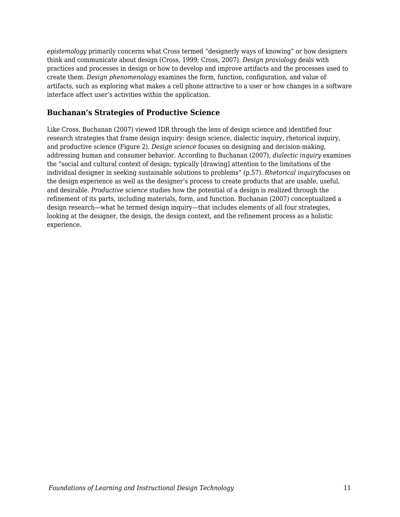*epistemology* primarily concerns what Cross termed "designerly ways of knowing" or how designers think and communicate about design (Cross, 1999; Cross, 2007). *Design praxiology* deals with practices and processes in design or how to develop and improve artifacts and the processes used to create them. *Design phenomenology* examines the form, function, configuration, and value of artifacts, such as exploring what makes a cell phone attractive to a user or how changes in a software interface affect user's activities within the application.

## **Buchanan's Strategies of Productive Science**

Like Cross, Buchanan (2007) viewed IDR through the lens of design science and identified four research strategies that frame design inquiry: design science, dialectic inquiry, rhetorical inquiry, and productive science (Figure 2). *Design science* focuses on designing and decision-making, addressing human and consumer behavior. According to Buchanan (2007), *dialectic inquiry* examines the "social and cultural context of design; typically [drawing] attention to the limitations of the individual designer in seeking sustainable solutions to problems" (p.57). *Rhetorical inquiry*focuses on the design experience as well as the designer's process to create products that are usable, useful, and desirable. *Productive science* studies how the potential of a design is realized through the refinement of its parts, including materials, form, and function. Buchanan (2007) conceptualized a design research—what he termed design inquiry—that includes elements of all four strategies, looking at the designer, the design, the design context, and the refinement process as a holistic experience.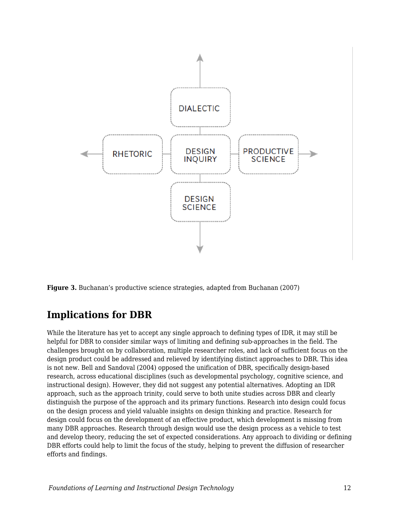

**Figure 3.** Buchanan's productive science strategies, adapted from Buchanan (2007)

## **Implications for DBR**

While the literature has yet to accept any single approach to defining types of IDR, it may still be helpful for DBR to consider similar ways of limiting and defining sub-approaches in the field. The challenges brought on by collaboration, multiple researcher roles, and lack of sufficient focus on the design product could be addressed and relieved by identifying distinct approaches to DBR. This idea is not new. Bell and Sandoval (2004) opposed the unification of DBR, specifically design-based research, across educational disciplines (such as developmental psychology, cognitive science, and instructional design). However, they did not suggest any potential alternatives. Adopting an IDR approach, such as the approach trinity, could serve to both unite studies across DBR and clearly distinguish the purpose of the approach and its primary functions. Research into design could focus on the design process and yield valuable insights on design thinking and practice. Research for design could focus on the development of an effective product, which development is missing from many DBR approaches. Research through design would use the design process as a vehicle to test and develop theory, reducing the set of expected considerations. Any approach to dividing or defining DBR efforts could help to limit the focus of the study, helping to prevent the diffusion of researcher efforts and findings.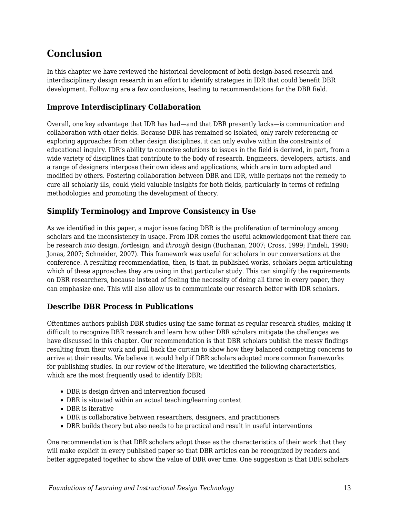## **Conclusion**

In this chapter we have reviewed the historical development of both design-based research and interdisciplinary design research in an effort to identify strategies in IDR that could benefit DBR development. Following are a few conclusions, leading to recommendations for the DBR field.

## **Improve Interdisciplinary Collaboration**

Overall, one key advantage that IDR has had—and that DBR presently lacks—is communication and collaboration with other fields. Because DBR has remained so isolated, only rarely referencing or exploring approaches from other design disciplines, it can only evolve within the constraints of educational inquiry. IDR's ability to conceive solutions to issues in the field is derived, in part, from a wide variety of disciplines that contribute to the body of research. Engineers, developers, artists, and a range of designers interpose their own ideas and applications, which are in turn adopted and modified by others. Fostering collaboration between DBR and IDR, while perhaps not the remedy to cure all scholarly ills, could yield valuable insights for both fields, particularly in terms of refining methodologies and promoting the development of theory.

## **Simplify Terminology and Improve Consistency in Use**

As we identified in this paper, a major issue facing DBR is the proliferation of terminology among scholars and the inconsistency in usage. From IDR comes the useful acknowledgement that there can be research *into* design, *for*design, and *through* design (Buchanan, 2007; Cross, 1999; Findeli, 1998; Jonas, 2007; Schneider, 2007). This framework was useful for scholars in our conversations at the conference. A resulting recommendation, then, is that, in published works, scholars begin articulating which of these approaches they are using in that particular study. This can simplify the requirements on DBR researchers, because instead of feeling the necessity of doing all three in every paper, they can emphasize one. This will also allow us to communicate our research better with IDR scholars.

## **Describe DBR Process in Publications**

Oftentimes authors publish DBR studies using the same format as regular research studies, making it difficult to recognize DBR research and learn how other DBR scholars mitigate the challenges we have discussed in this chapter. Our recommendation is that DBR scholars publish the messy findings resulting from their work and pull back the curtain to show how they balanced competing concerns to arrive at their results. We believe it would help if DBR scholars adopted more common frameworks for publishing studies. In our review of the literature, we identified the following characteristics, which are the most frequently used to identify DBR:

- DBR is design driven and intervention focused
- DBR is situated within an actual teaching/learning context
- DBR is iterative
- DBR is collaborative between researchers, designers, and practitioners
- DBR builds theory but also needs to be practical and result in useful interventions

One recommendation is that DBR scholars adopt these as the characteristics of their work that they will make explicit in every published paper so that DBR articles can be recognized by readers and better aggregated together to show the value of DBR over time. One suggestion is that DBR scholars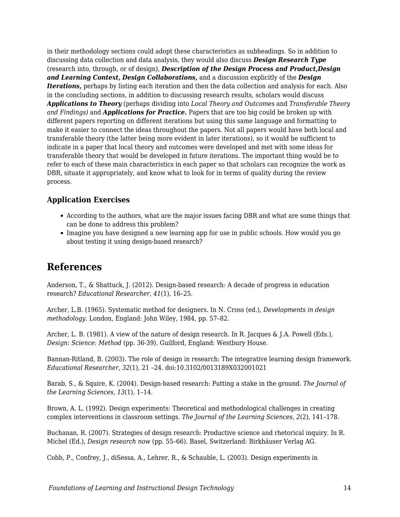in their methodology sections could adopt these characteristics as subheadings. So in addition to discussing data collection and data analysis, they would also discuss *Design Research Type* (research into, through, or of design), *Description of the Design Process and Product,Design and Learning Context, Design Collaborations,* and a discussion explicitly of the *Design Iterations,* perhaps by listing each iteration and then the data collection and analysis for each. Also in the concluding sections, in addition to discussing research results, scholars would discuss *Applications to Theory* (perhaps dividing into *Local Theory and Outcomes* and *Transferable Theory and Findings)* and *Applications for Practice.* Papers that are too big could be broken up with different papers reporting on different iterations but using this same language and formatting to make it easier to connect the ideas throughout the papers. Not all papers would have both local and transferable theory (the latter being more evident in later iterations), so it would be sufficient to indicate in a paper that local theory and outcomes were developed and met with some ideas for transferable theory that would be developed in future iterations. The important thing would be to refer to each of these main characteristics in each paper so that scholars can recognize the work as DBR, situate it appropriately, and know what to look for in terms of quality during the review process.

## **Application Exercises**

- According to the authors, what are the major issues facing DBR and what are some things that can be done to address this problem?
- Imagine you have designed a new learning app for use in public schools. How would you go about testing it using design-based research?

## **References**

Anderson, T., & Shattuck, J. (2012). Design-based research: A decade of progress in education research? *Educational Researcher, 41*(1), 16–25.

Archer, L.B. (1965). Systematic method for designers. In N. Cross (ed.), *Developments in design methodology.* London, England: John Wiley, 1984, pp. 57–82.

Archer, L. B. (1981). A view of the nature of design research. In R. Jacques & J.A. Powell (Eds.), *Design: Science: Method* (pp. 36-39). Guilford, England: Westbury House.

Bannan-Ritland, B. (2003). The role of design in research: The integrative learning design framework. *Educational Researcher, 32*(1), 21 –24. doi:10.3102/0013189X032001021

Barab, S., & Squire, K. (2004). Design-based research: Putting a stake in the ground. *The Journal of the Learning Sciences, 13*(1), 1–14.

Brown, A. L. (1992). Design experiments: Theoretical and methodological challenges in creating complex interventions in classroom settings. *The Journal of the Learning Sciences, 2*(2), 141–178.

Buchanan, R. (2007). Strategies of design research: Productive science and rhetorical inquiry. In R. Michel (Ed.), *Design research now* (pp. 55–66). Basel, Switzerland: Birkhäuser Verlag AG.

Cobb, P., Confrey, J., diSessa, A., Lehrer, R., & Schauble, L. (2003). Design experiments in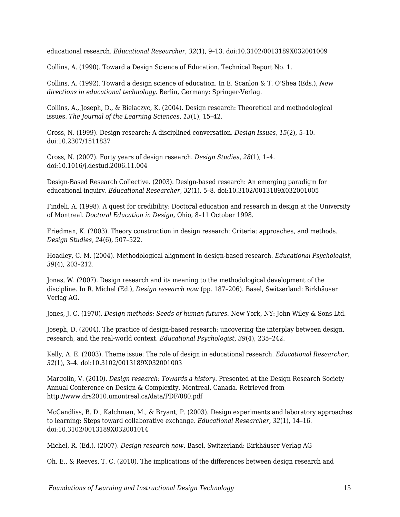educational research. *Educational Researcher, 32*(1), 9–13. doi:10.3102/0013189X032001009

Collins, A. (1990). Toward a Design Science of Education. Technical Report No. 1.

Collins, A. (1992). Toward a design science of education. In E. Scanlon & T. O'Shea (Eds.), *New directions in educational technology.* Berlin, Germany: Springer-Verlag.

Collins, A., Joseph, D., & Bielaczyc, K. (2004). Design research: Theoretical and methodological issues. *The Journal of the Learning Sciences, 13*(1), 15–42.

Cross, N. (1999). Design research: A disciplined conversation. *Design Issues, 15*(2), 5–10. doi:10.2307/1511837

Cross, N. (2007). Forty years of design research. *Design Studies, 28*(1), 1–4. doi:10.1016/j.destud.2006.11.004

Design-Based Research Collective. (2003). Design-based research: An emerging paradigm for educational inquiry. *Educational Researcher, 32*(1), 5–8. doi:10.3102/0013189X032001005

Findeli, A. (1998). A quest for credibility: Doctoral education and research in design at the University of Montreal. *Doctoral Education in Design,* Ohio, 8–11 October 1998.

Friedman, K. (2003). Theory construction in design research: Criteria: approaches, and methods. *Design Studies, 24*(6), 507–522.

Hoadley, C. M. (2004). Methodological alignment in design-based research. *Educational Psychologist, 39*(4), 203–212.

Jonas, W. (2007). Design research and its meaning to the methodological development of the discipline. In R. Michel (Ed.), *Design research now* (pp. 187–206). Basel, Switzerland: Birkhäuser Verlag AG.

Jones, J. C. (1970). *Design methods: Seeds of human futures.* New York, NY: John Wiley & Sons Ltd.

Joseph, D. (2004). The practice of design-based research: uncovering the interplay between design, research, and the real-world context. *Educational Psychologist, 39*(4), 235–242.

Kelly, A. E. (2003). Theme issue: The role of design in educational research. *Educational Researcher, 32*(1), 3–4. doi:10.3102/0013189X032001003

Margolin, V. (2010). *Design research: Towards a history.* Presented at the Design Research Society Annual Conference on Design & Complexity, Montreal, Canada. Retrieved from http://www.drs2010.umontreal.ca/data/PDF/080.pdf

McCandliss, B. D., Kalchman, M., & Bryant, P. (2003). Design experiments and laboratory approaches to learning: Steps toward collaborative exchange. *Educational Researcher, 32*(1), 14–16. doi:10.3102/0013189X032001014

Michel, R. (Ed.). (2007). *Design research now.* Basel, Switzerland: Birkhäuser Verlag AG

Oh, E., & Reeves, T. C. (2010). The implications of the differences between design research and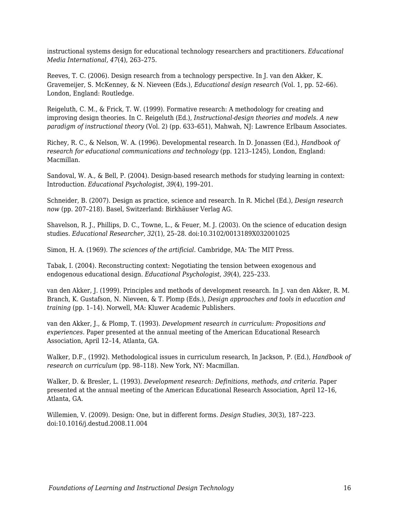instructional systems design for educational technology researchers and practitioners. *Educational Media International, 47*(4), 263–275.

Reeves, T. C. (2006). Design research from a technology perspective. In J. van den Akker, K. Gravemeijer, S. McKenney, & N. Nieveen (Eds.), *Educational design research* (Vol. 1, pp. 52–66). London, England: Routledge.

Reigeluth, C. M., & Frick, T. W. (1999). Formative research: A methodology for creating and improving design theories. In C. Reigeluth (Ed.), *Instructional-design theories and models. A new paradigm of instructional theory* (Vol. 2) (pp. 633–651), Mahwah, NJ: Lawrence Erlbaum Associates.

Richey, R. C., & Nelson, W. A. (1996). Developmental research. In D. Jonassen (Ed.), *Handbook of research for educational communications and technology* (pp. 1213–1245), London, England: Macmillan.

Sandoval, W. A., & Bell, P. (2004). Design-based research methods for studying learning in context: Introduction. *Educational Psychologist, 39*(4), 199–201.

Schneider, B. (2007). Design as practice, science and research. In R. Michel (Ed.), *Design research now* (pp. 207–218). Basel, Switzerland: Birkhäuser Verlag AG.

Shavelson, R. J., Phillips, D. C., Towne, L., & Feuer, M. J. (2003). On the science of education design studies. *Educational Researcher, 32*(1), 25–28. doi:10.3102/0013189X032001025

Simon, H. A. (1969). *The sciences of the artificial.* Cambridge, MA: The MIT Press.

Tabak, I. (2004). Reconstructing context: Negotiating the tension between exogenous and endogenous educational design. *Educational Psychologist, 39*(4), 225–233.

van den Akker, J. (1999). Principles and methods of development research. In J. van den Akker, R. M. Branch, K. Gustafson, N. Nieveen, & T. Plomp (Eds.), *Design approaches and tools in education and training* (pp. 1–14). Norwell, MA: Kluwer Academic Publishers.

van den Akker, J., & Plomp, T. (1993). *Development research in curriculum: Propositions and experiences.* Paper presented at the annual meeting of the American Educational Research Association, April 12–14, Atlanta, GA.

Walker, D.F., (1992). Methodological issues in curriculum research, In Jackson, P. (Ed.), *Handbook of research on curriculum* (pp. 98–118). New York, NY: Macmillan.

Walker, D. & Bresler, L. (1993). *Development research: Definitions, methods, and criteria.* Paper presented at the annual meeting of the American Educational Research Association, April 12–16, Atlanta, GA.

Willemien, V. (2009). Design: One, but in different forms. *Design Studies, 30*(3), 187–223. doi:10.1016/j.destud.2008.11.004